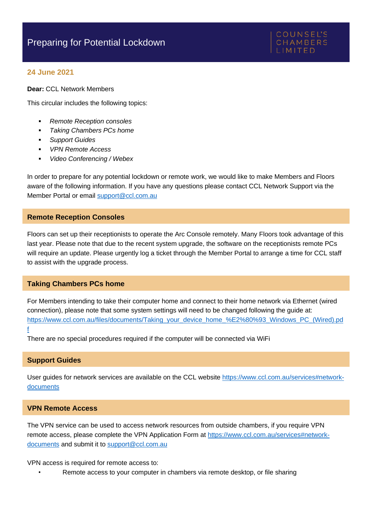## **24 June 2021**

**Dear:** CCL Network Members

This circular includes the following topics:

- *Remote Reception consoles*
- *Taking Chambers PCs home*
- **Support Guides**
- *VPN Remote Access*
- *Video Conferencing / Webex*

In order to prepare for any potential lockdown or remote work, we would like to make Members and Floors aware of the following information. If you have any questions please contact CCL Network Support via the Member Portal or email [support@ccl.com.au](mailto:support@ccl.com.au)

### **Remote Reception Consoles**

Floors can set up their receptionists to operate the Arc Console remotely. Many Floors took advantage of this last year. Please note that due to the recent system upgrade, the software on the receptionists remote PCs will require an update. Please urgently log a ticket through the Member Portal to arrange a time for CCL staff to assist with the upgrade process.

## **Taking Chambers PCs home**

For Members intending to take their computer home and connect to their home network via Ethernet (wired connection), please note that some system settings will need to be changed following the guide at: [https://www.ccl.com.au/files/documents/Taking\\_your\\_device\\_home\\_%E2%80%93\\_Windows\\_PC\\_\(Wired\).pd](https://www.ccl.com.au/files/documents/Taking_your_device_home_%E2%80%93_Windows_PC_(Wired).pdf) [f](https://www.ccl.com.au/files/documents/Taking_your_device_home_%E2%80%93_Windows_PC_(Wired).pdf)

There are no special procedures required if the computer will be connected via WiFi

#### **Support Guides**

User guides for network services are available on the CCL websit[e https://www.ccl.com.au/services#network](https://www.ccl.com.au/services#network-documents)[documents](https://www.ccl.com.au/services#network-documents)

## **VPN Remote Access**

The VPN service can be used to access network resources from outside chambers, if you require VPN remote access, please complete the VPN Application Form at [https://www.ccl.com.au/services#network](https://www.ccl.com.au/services#network-documents)[documents](https://www.ccl.com.au/services#network-documents) and submit it to [support@ccl.com.au](mailto:support@ccl.com.au)

VPN access is required for remote access to:

Remote access to your computer in chambers via remote desktop, or file sharing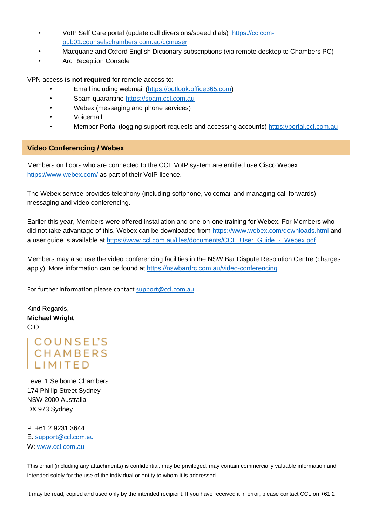- VoIP Self Care portal (update call diversions/speed dials) [https://cclccm](https://cclccm-pub01.counselschambers.com.au/ccmuser)[pub01.counselschambers.com.au/ccmuser](https://cclccm-pub01.counselschambers.com.au/ccmuser)
- Macquarie and Oxford English Dictionary subscriptions (via remote desktop to Chambers PC)
- Arc Reception Console

VPN access **is not required** for remote access to:

- Email including webmail [\(https://outlook.office365.com\)](https://outlook.office365.com/)
- Spam quarantine [https://spam.ccl.com.au](https://spam.ccl.com.au/)
- Webex (messaging and phone services)
- Voicemail
- Member Portal (logging support requests and accessing accounts[\) https://portal.ccl.com.au](https://portal.ccl.com.au/)

## **Video Conferencing / Webex**

Members on floors who are connected to the CCL VoIP system are entitled use Cisco Webex <https://www.webex.com/> as part of their VoIP licence.

The Webex service provides telephony (including softphone, voicemail and managing call forwards), messaging and video conferencing.

Earlier this year, Members were offered installation and one-on-one training for Webex. For Members who did not take advantage of this, Webex can be downloaded from<https://www.webex.com/downloads.html> and a user quide is available at [https://www.ccl.com.au/files/documents/CCL\\_User\\_Guide\\_-\\_Webex.pdf](https://www.ccl.com.au/files/documents/CCL_User_Guide_-_Webex.pdf)

Members may also use the video conferencing facilities in the NSW Bar Dispute Resolution Centre (charges apply). More information can be found at<https://nswbardrc.com.au/video-conferencing>

For further information please contact [support@ccl.com.au](mailto:support@ccl.com.au)

Kind Regards, **Michael Wright** CIO

# COUNSEL'S<br>CHAMBERS **I IMITED**

Level 1 Selborne Chambers 174 Phillip Street Sydney NSW 2000 Australia DX 973 Sydney

P: +61 2 9231 3644 E: [s](mailto:support@ccl.com.au)[upport@ccl.com.au](mailto:support@ccl.com.au) W: [www.ccl.com.au](http://www.ccl.com.au/)

This email (including any attachments) is confidential, may be privileged, may contain commercially valuable information and intended solely for the use of the individual or entity to whom it is addressed.

It may be read, copied and used only by the intended recipient. If you have received it in error, please contact CCL on +61 2